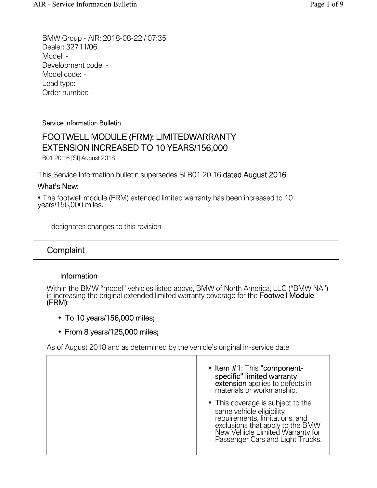BMW Group - AIR: 2018-08-22 / 07:35 Dealer: 32711/06 Model: - Development code: - Model code: - Lead type: - Order number: -

#### Service Information Bulletin

# FOOTWELL MODULE (FRM): LIMITEDWARRANTY EXTENSION INCREASED TO 10 YEARS/156,000

B01 20 16 [SI] August 2018

This Service Information bulletin supersedes SI B01 20 16 dated August 2016

## What's New:

• The footwell module (FRM) extended limited warranty has been increased to 10 years/156,000 miles.

designates changes to this revision

# **Complaint**

## Information

Within the BMW "model" vehicles listed above, BMW of North America, LLC ("BMW NA") is increasing the original extended limited warranty coverage for the Footwell Module (FRM):

- To 10 years/156,000 miles;
- From 8 years/125,000 miles;

As of August 2018 and as determined by the vehicle's original in-service date

- Item #1: This "componentspecific" limited warranty<br>extension applies to defects in materials or workmanship.
- This coverage is subject to the same vehicle eligibility requirements, limitations, and exclusions that apply to the BMW New Vehicle Limited Warranty for Passenger Cars and Light Trucks.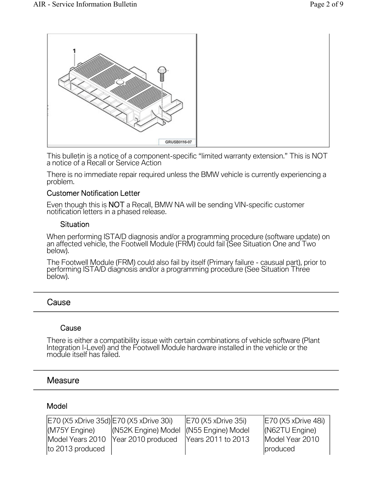

This bulletin is a notice of a component-specific "limited warranty extension." This is NOT a notice of a Recall or Service Action

There is no immediate repair required unless the BMW vehicle is currently experiencing a problem.

## Customer Notification Letter

Even though this is NOT a Recall, BMW NA will be sending VIN-specific customer notification letters in a phased release.

### **Situation**

When performing ISTA/D diagnosis and/or a programming procedure (software update) on an affected vehicle, the Footwell Module (FRM) could fail (See Situation One and Two below).

The Footwell Module (FRM) could also fail by itself (Primary failure - causual part), prior to performing ISTA/D diagnosis and/or a programming procedure (See Situation Three below).

# **Cause**

#### **Cause**

There is either a compatibility issue with certain combinations of vehicle software (Plant Integration I-Level) and the Footwell Module hardware installed in the vehicle or the module itself has failed.

# **Measure**

## Model

| E70 (X5 xDrive 35d) E70 (X5 xDrive 30i) |                                         | E70 (X5 xDrive 35i)        | $ E70 (X5 x)$ Drive 48i) |
|-----------------------------------------|-----------------------------------------|----------------------------|--------------------------|
| (M75Y Engine)                           | (N52K Engine) Model  (N55 Engine) Model |                            | $(NG2TU)$ Engine)        |
|                                         | Model Years 2010   Year 2010 produced   | <b>Prears 2011 to 2013</b> | Model Year 2010          |
| to 2013 produced                        |                                         |                            | produced                 |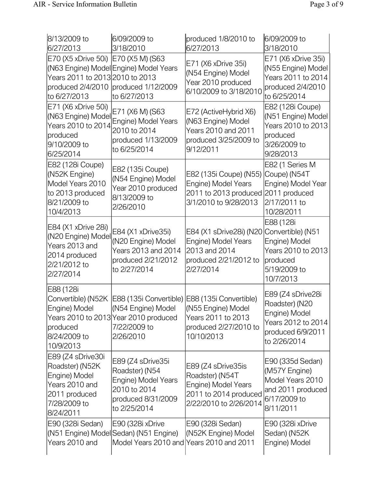| 8/13/2009 to<br>6/27/2013                                                                                             | 6/09/2009 to<br>3/18/2010                                                                                                                                                           | produced 1/8/2010 to<br>6/27/2013                                                                                       | 6/09/2009 to<br>3/18/2010                                                                                       |
|-----------------------------------------------------------------------------------------------------------------------|-------------------------------------------------------------------------------------------------------------------------------------------------------------------------------------|-------------------------------------------------------------------------------------------------------------------------|-----------------------------------------------------------------------------------------------------------------|
| E70 (X5 xDrive 50i) E70 (X5 M) (S63<br>Years 2011 to 2013 2010 to 2013<br>to 6/27/2013                                | (N63 Engine) Model Engine) Model Years<br>produced 2/4/2010 produced 1/12/2009<br>to 6/27/2013                                                                                      | E71 (X6 xDrive 35i)<br>(N54 Engine) Model<br>Year 2010 produced<br>6/10/2009 to 3/18/2010                               | E71 (X6 xDrive 35i)<br>(N55 Engine) Model<br>Years 2011 to 2014<br>produced 2/4/2010<br>to 6/25/2014            |
| E71 (X6 xDrive 50i)<br>(N63 Engine) Model<br>Years 2010 to 2014<br>produced<br>9/10/2009 to<br>6/25/2014              | E71 (X6 M) (S63<br>Engine) Model Years<br>2010 to 2014<br>produced 1/13/2009<br>to 6/25/2014                                                                                        | E72 (ActiveHybrid X6)<br>(N63 Engine) Model<br>Years 2010 and 2011<br>produced 3/25/2009 to<br>9/12/2011                | E82 (128i Coupe)<br>(N51 Engine) Model<br>Years 2010 to 2013<br>produced<br>3/26/2009 to<br>9/28/2013           |
| E82 (128i Coupe)<br>(N52K Engine)<br>Model Years 2010<br>to 2013 produced<br>8/21/2009 to<br>10/4/2013                | E82 (135i Coupe)<br>(N54 Engine) Model<br>Year 2010 produced<br>8/13/2009 to<br>2/26/2010                                                                                           | E82 (135i Coupe) (N55)<br>Engine) Model Years<br>2011 to 2013 produced 2011 produced<br>3/1/2010 to 9/28/2013           | E82 (1 Series M<br>Coupe) (N54T<br>Engine) Model Year<br>2/17/2011 to<br>10/28/2011                             |
| E84 (X1 xDrive 28i)<br>(N20 Engine) Model<br>Years 2013 and<br>2014 produced<br>2/21/2012 to<br>2/27/2014             | E84 (X1 xDrive35i)<br>(N20 Engine) Model<br>Years 2013 and 2014<br>produced 2/21/2012<br>to 2/27/2014                                                                               | E84 (X1 sDrive28i) (N20 Convertible) (N51<br>Engine) Model Years<br>2013 and 2014<br>produced 2/21/2012 to<br>2/27/2014 | E88 (128i<br>Engine) Model<br>Years 2010 to 2013<br>produced<br>5/19/2009 to<br>10/7/2013                       |
| E88 (128i<br>Engine) Model<br>produced<br>8/24/2009 to<br>10/9/2013                                                   | Convertible) (N52K   E88 (135i Convertible)   E88 (135i Convertible)<br>(N54 Engine) Model (N55 Engine) Model<br>Years 2010 to 2013 Year 2010 produced<br>7/22/2009 to<br>2/26/2010 | Years 2011 to 2013<br>produced 2/27/2010 to<br>10/10/2013                                                               | E89 (Z4 sDrive28i<br>Roadster) (N20<br>Engine) Model<br>Years 2012 to 2014<br>produced 6/9/2011<br>to 2/26/2014 |
| E89 (Z4 sDrive30i<br>Roadster) (N52K<br>Engine) Model<br>Years 2010 and<br>2011 produced<br>7/28/2009 to<br>8/24/2011 | E89 (Z4 sDrive35i<br>Roadster) (N54<br>Engine) Model Years<br>2010 to 2014<br>produced 8/31/2009<br>to 2/25/2014                                                                    | E89 (Z4 sDrive35is<br>Roadster) (N54T<br>Engine) Model Years<br>2011 to 2014 produced<br>2/22/2010 to 2/26/2014         | E90 (335d Sedan)<br>(M57Y Engine)<br>Model Years 2010<br>and 2011 produced<br>6/17/2009 to<br>8/11/2011         |
| E90 (328i Sedan)<br>Years 2010 and                                                                                    | E90 (328i xDrive<br>(N51 Engine) Model Sedan) (N51 Engine)<br>Model Years 2010 and Years 2010 and 2011                                                                              | E90 (328i Sedan)<br>(N52K Engine) Model                                                                                 | E90 (328i xDrive<br>Sedan) (N52K<br>Engine) Model                                                               |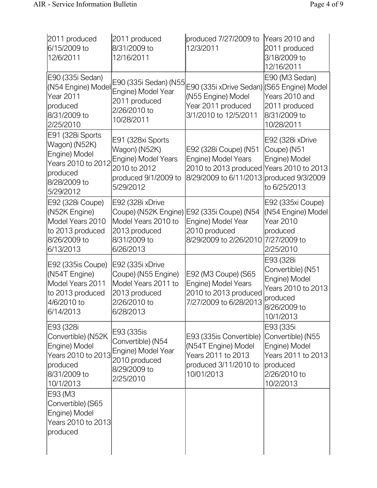| 2011 produced<br>6/15/2009 to<br>12/6/2011                                                                        | 2011 produced<br>8/31/2009 to<br>12/16/2011                                                                    | produced 7/27/2009 to<br>12/3/2011                                                                              | Years 2010 and<br>2011 produced<br>3/18/2009 to<br>12/16/2011                                                  |
|-------------------------------------------------------------------------------------------------------------------|----------------------------------------------------------------------------------------------------------------|-----------------------------------------------------------------------------------------------------------------|----------------------------------------------------------------------------------------------------------------|
| E90 (335i Sedan)<br>(N54 Engine) Model<br>Year 2011<br>produced<br>8/31/2009 to<br>2/25/2010                      | E90 (335i Sedan) (N55<br>Engine) Model Year<br>2011 produced<br>2/26/2010 to<br>10/28/2011                     | E90 (335i xDrive Sedan) (S65 Engine) Model<br>(N55 Engine) Model<br>Year 2011 produced<br>3/1/2010 to 12/5/2011 | E90 (M3 Sedan)<br>Years 2010 and<br>2011 produced<br>8/31/2009 to<br>10/28/2011                                |
| E91 (328i Sports<br>Wagon) (N52K)<br>Engine) Model<br>Years 2010 to 2012<br>produced<br>8/28/2009 to<br>5/29/2012 | E91 (328xi Sports<br>Wagon) (N52K)<br>Engine) Model Years<br>2010 to 2012<br>produced 9/1/2009 to<br>5/29/2012 | E92 (328i Coupe) (N51<br>Engine) Model Years<br>2010 to 2013 produced<br>8/29/2009 to 6/11/2013                 | E92 (328i xDrive<br>Coupe) (N51<br>Engine) Model<br>Years 2010 to 2013<br>produced 9/3/2009<br>to 6/25/2013    |
| E92 (328i Coupe)<br>(N52K Engine)<br>Model Years 2010<br>to 2013 produced<br>8/26/2009 to<br>6/13/2013            | E92 (328i xDrive<br>Model Years 2010 to<br>2013 produced<br>8/31/2009 to<br>6/26/2013                          | Coupe) (N52K Engine) E92 (335i Coupe) (N54<br>Engine) Model Year<br>2010 produced<br>8/29/2009 to 2/26/2010     | E92 (335xi Coupe)<br>(N54 Engine) Model<br>Year 2010<br>produced<br>7/27/2009 to<br>2/25/2010                  |
| E92 (335is Coupe)<br>(N54T Engine)<br>Model Years 2011<br>to 2013 produced<br>4/6/2010 to<br>6/14/2013            | E92 (335i xDrive<br>Coupe) (N55 Engine)<br>Model Years 2011 to<br>2013 produced<br>2/26/2010 to<br>6/28/2013   | E92 (M3 Coupe) (S65<br>Engine) Model Years<br>2010 to 2013 produced<br>7/27/2009 to 6/28/2013                   | E93 (328i<br>Convertible) (N51<br>Engine) Model<br>Years 2010 to 2013<br>produced<br>8/26/2009 to<br>10/1/2013 |
| E93 (328i<br>Convertible) (N52K<br>Engine) Model<br>Years 2010 to 2013<br>produced<br>8/31/2009 to<br>10/1/2013   | E93 (335is<br>Convertible) (N54<br>Engine) Model Year<br>2010 produced<br>8/29/2009 to<br>2/25/2010            | E93 (335 is Convertible)<br>(N54T Engine) Model<br>Years 2011 to 2013<br>produced 3/11/2010 to<br>10/01/2013    | E93 (335i<br>Convertible) (N55<br>Engine) Model<br>Years 2011 to 2013<br>produced<br>2/26/2010 to<br>10/2/2013 |
| E93 (M3<br>Convertible) (S65<br>Engine) Model<br>Years 2010 to 2013<br>produced                                   |                                                                                                                |                                                                                                                 |                                                                                                                |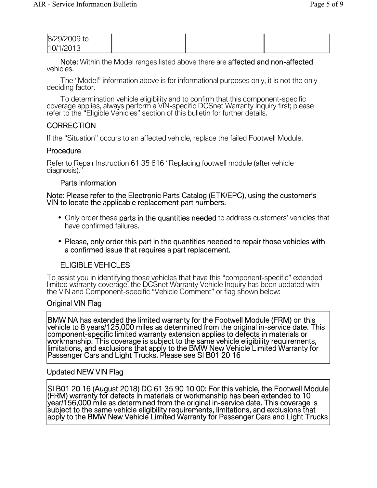| 8/29/2009 to |  |  |
|--------------|--|--|
| 10/1/2013    |  |  |

Note: Within the Model ranges listed above there are affected and non-affected vehicles.

The "Model" information above is for informational purposes only, it is not the only deciding factor.

To determination vehicle eligibility and to confirm that this component-specific coverage applies, always perform a VIN-specific DCSnet Warranty Inquiry first; please<br>refer to the "Eligible Vehicles" section of this bulletin for further details.

# **CORRECTION**

If the "Situation" occurs to an affected vehicle, replace the failed Footwell Module.

### **Procedure**

Refer to Repair Instruction 61 35 616 "Replacing footwell module (after vehicle diagnosis)."

#### Parts Information

Note: Please refer to the Electronic Parts Catalog (ETK/EPC), using the customer's VIN to locate the applicable replacement part numbers.

- Only order these parts in the quantities needed to address customers' vehicles that have confirmed failures.
- Please, only order this part in the quantities needed to repair those vehicles with a confirmed issue that requires a part replacement.

## ELIGIBLE VEHICLES

To assist you in identifying those vehicles that have this "component-specific" extended limited warranty coverage, the DCSnet Warranty Vehicle Inquiry has been updated with the VIN and Component-specific "Vehicle Comment" or flag shown below:

#### Original VIN Flag

BMW NA has extended the limited warranty for the Footwell Module (FRM) on this vehicle to 8 years/125,000 miles as determined from the original in-service date. This component-specific limited warranty extension applies to defects in materials or workmanship. This coverage is subject to the same vehicle eligibility requirements,<br>limitations, and exclusions that apply to the BMW New Vehicle Limited Warranty for<br>Passenger Cars and Light Trucks. Please see SI B01 20 1

#### Updated NEW VIN Flag

SI B01 20 16 (August 2018) DC 61 35 90 10 00: For this vehicle, the Footwell Module<br>(FRM) warranty for defects in materials or workmanship has been extended to 10 (FRM) warranty for defects in materials or workmanship has been extended to 10<br>year/156,000 mile as determined from the original in-service date. This coverage is<br>subject to the same vehicle eligibility requirements, limit apply to the BMW New Vehicle Limited Warranty for Passenger Cars and Light Trucks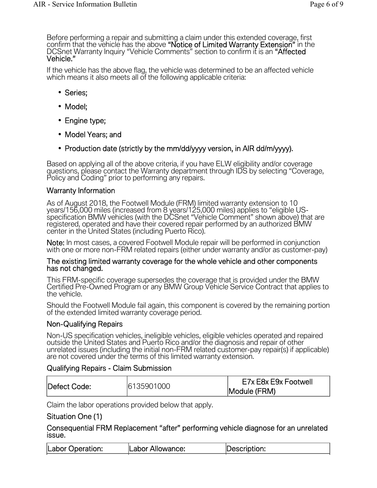Before performing a repair and submitting a claim under this extended coverage, first<br>confirm that the vehicle has the above **"Notice of Limited Warranty Extension"** in the DCSnet Warranty Inquiry "Vehicle Comments" section to confirm it is an **"Affected** Vehicle."

If the vehicle has the above flag, the vehicle was determined to be an affected vehicle which means it also meets all of the following applicable criteria:

- Series;
- Model;
- Engine type;
- Model Years; and
- Production date (strictly by the mm/dd/yyyy version, in AIR dd/m/yyyy).

Based on applying all of the above criteria, if you have ELW eligibility and/or coverage questions, please contact the Warranty department through IDS by selecting "Coverage, Policy and Coding" prior to performing any repairs.

#### Warranty Information

As of August 2018, the Footwell Module (FRM) limited warranty extension to 10<br>years/156,000 miles (increased from 8 years/125,000 miles) applies to "eligible US-<br>specification BMW vehicles (with the DCSnet "Vehicle Comment registered, operated and have their covered repair performed by an authorized BMW center in the United States (including Puerto Rico).

Note: In most cases, a covered Footwell Module repair will be performed in conjunction with one or more non-FRM related repairs (either under warranty and/or as customer-pay)

# The existing limited warranty coverage for the whole vehicle and other components has not changed.

This FRM-specific coverage supersedes the coverage that is provided under the BMW<br>Certified Pre-Owned Program or any BMW Group Vehicle Service Contract that applies to the vehicle.

Should the Footwell Module fail again, this component is covered by the remaining portion of the extended limited warranty coverage period.

#### Non-Qualifying Repairs

Non-US specification vehicles, ineligible vehicles, eligible vehicles operated and repaired outside the United States and Puerto Rico and/or the diagnosis and repair of other unrelated issues (including the initial non-FRM related customer-pay repair(s) if applicable) are not covered under the terms of this limited warranty extension.

#### Qualifying Repairs - Claim Submission

| Defect Code: | 6135901000 | E7x E8x E9x Footwell |  |
|--------------|------------|----------------------|--|
|              |            | Module (FRM)         |  |

Claim the labor operations provided below that apply.

#### Situation One (1)

Consequential FRM Replacement "after" performing vehicle diagnose for an unrelated issue.

| Labor Operation: | Labor Allowance: | Description: |
|------------------|------------------|--------------|
|                  |                  |              |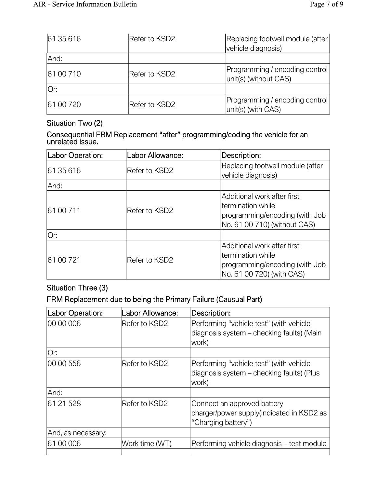| 6135616   | Refer to KSD2 | Replacing footwell module (after<br>vehicle diagnosis)  |
|-----------|---------------|---------------------------------------------------------|
| And:      |               |                                                         |
| 61 00 710 | Refer to KSD2 | Programming / encoding control<br>unit(s) (without CAS) |
| lOr:      |               |                                                         |
| 61 00 720 | Refer to KSD2 | Programming / encoding control<br>unit(s) (with CAS)    |

# Situation Two (2)

Consequential FRM Replacement "after" programming/coding the vehicle for an unrelated issue.

| Labor Operation: | Labor Allowance: | Description:                                                                                                        |
|------------------|------------------|---------------------------------------------------------------------------------------------------------------------|
| 61 35 616        | lRefer to KSD2   | Replacing footwell module (after<br>vehicle diagnosis)                                                              |
| lAnd:            |                  |                                                                                                                     |
| 61 00 711        | Refer to KSD2    | Additional work after first<br>ltermination while<br>programming/encoding (with Job<br>No. 61 00 710) (without CAS) |
| lOr:             |                  |                                                                                                                     |
| 61 00 721        | Refer to KSD2    | Additional work after first<br>ltermination while<br>programming/encoding (with Job<br>No. 61 00 720) (with CAS)    |

# Situation Three (3)

# FRM Replacement due to being the Primary Failure (Causual Part)

| Labor Operation:   | Labor Allowance: | Description:                                                                                    |
|--------------------|------------------|-------------------------------------------------------------------------------------------------|
| 00 00 006          | Refer to KSD2    | Performing "vehicle test" (with vehicle<br>diagnosis system - checking faults) (Main<br>work)   |
| Or:                |                  |                                                                                                 |
| 100 00 556         | Refer to KSD2    | Performing "vehicle test" (with vehicle<br>diagnosis system – checking faults) (Plus<br>work)   |
| And:               |                  |                                                                                                 |
| 61 21 528          | Refer to KSD2    | Connect an approved battery<br>charger/power supply(indicated in KSD2 as<br>"Charging battery") |
| And, as necessary: |                  |                                                                                                 |
| 61 00 006          | Work time (WT)   | Performing vehicle diagnosis - test module                                                      |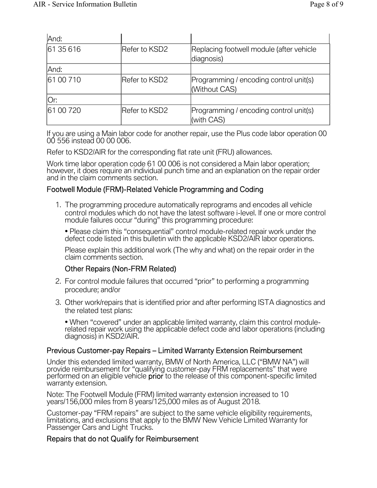| And:       |               |                                                         |
|------------|---------------|---------------------------------------------------------|
| 61 35 616  | Refer to KSD2 | Replacing footwell module (after vehicle<br>diagnosis)  |
| And:       |               |                                                         |
| 161 00 710 | Refer to KSD2 | Programming / encoding control unit(s)<br>(Without CAS) |
| Or:        |               |                                                         |
| 61 00 720  | Refer to KSD2 | Programming / encoding control unit(s)<br>(with CAS)    |

If you are using a Main labor code for another repair, use the Plus code labor operation 00 00 556 instead 00 00 006.

Refer to KSD2/AIR for the corresponding flat rate unit (FRU) allowances.

Work time labor operation code 61 00 006 is not considered a Main labor operation; however, it does require an individual punch time and an explanation on the repair order and in the claim comments section.

#### Footwell Module (FRM)-Related Vehicle Programming and Coding

1. The programming procedure automatically reprograms and encodes all vehicle control modules which do not have the latest software i-level. If one or more control module failures occur "during" this programming procedure:

• Please claim this "consequential" control module-related repair work under the defect code listed in this bulletin with the applicable KSD2/AIR labor operations.

Please explain this additional work (The why and what) on the repair order in the claim comments section.

#### Other Repairs (Non-FRM Related)

- 2. For control module failures that occurred "prior" to performing a programming procedure; and/or
- 3. Other work/repairs that is identified prior and after performing ISTA diagnostics and the related test plans:

• When "covered" under an applicable limited warranty, claim this control modulerelated repair work using the applicable defect code and labor operations (including diagnosis) in KSD2/AIR.

#### Previous Customer-pay Repairs – Limited Warranty Extension Reimbursement

Under this extended limited warranty, BMW of North America, LLC ("BMW NA") will provide reimbursement for "qualifying customer-pay FRM replacements" that were performed on an eligible vehicle **prior** to the release of this warranty extension.

Note: The Footwell Module (FRM) limited warranty extension increased to 10 years/156,000 miles from 8 years/125,000 miles as of August 2018.

Customer-pay "FRM repairs" are subject to the same vehicle eligibility requirements, limitations, and exclusions that apply to the BMW New Vehicle Limited Warranty for<br>Passenger Cars and Light Trucks.

#### Repairs that do not Qualify for Reimbursement